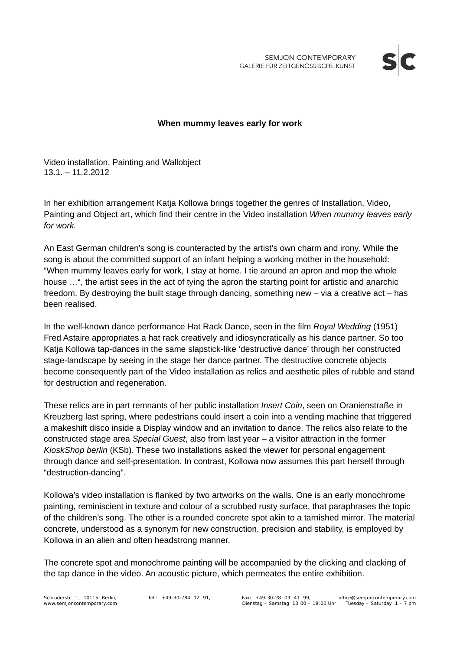

## **When mummy leaves early for work**

Video installation, Painting and Wallobject 13.1. – 11.2.2012

In her exhibition arrangement Katja Kollowa brings together the genres of Installation, Video, Painting and Object art, which find their centre in the Video installation *When mummy leaves early for work.*

An East German children's song is counteracted by the artist's own charm and irony. While the song is about the committed support of an infant helping a working mother in the household: "When mummy leaves early for work, I stay at home. I tie around an apron and mop the whole house  $\ldots$ ", the artist sees in the act of tying the apron the starting point for artistic and anarchic freedom. By destroying the built stage through dancing, something new – via a creative act – has been realised.

In the well-known dance performance Hat Rack Dance, seen in the film *Royal Wedding* (1951) Fred Astaire appropriates a hat rack creatively and idiosyncratically as his dance partner. So too Katja Kollowa tap-dances in the same slapstick-like 'destructive dance' through her constructed stage-landscape by seeing in the stage her dance partner. The destructive concrete objects become consequently part of the Video installation as relics and aesthetic piles of rubble and stand for destruction and regeneration.

These relics are in part remnants of her public installation *Insert Coin*, seen on Oranienstraße in Kreuzberg last spring, where pedestrians could insert a coin into a vending machine that triggered a makeshift disco inside a Display window and an invitation to dance. The relics also relate to the constructed stage area *Special Guest*, also from last year – a visitor attraction in the former *KioskShop berlin* (KSb). These two installations asked the viewer for personal engagement through dance and self-presentation. In contrast, Kollowa now assumes this part herself through "destruction-dancing".

Kollowa's video installation is flanked by two artworks on the walls. One is an early monochrome painting, reminiscient in texture and colour of a scrubbed rusty surface, that paraphrases the topic of the children's song. The other is a rounded concrete spot akin to a tarnished mirror. The material concrete, understood as a synonym for new construction, precision and stability, is employed by Kollowa in an alien and often headstrong manner.

The concrete spot and monochrome painting will be accompanied by the clicking and clacking of the tap dance in the video. An acoustic picture, which permeates the entire exhibition.